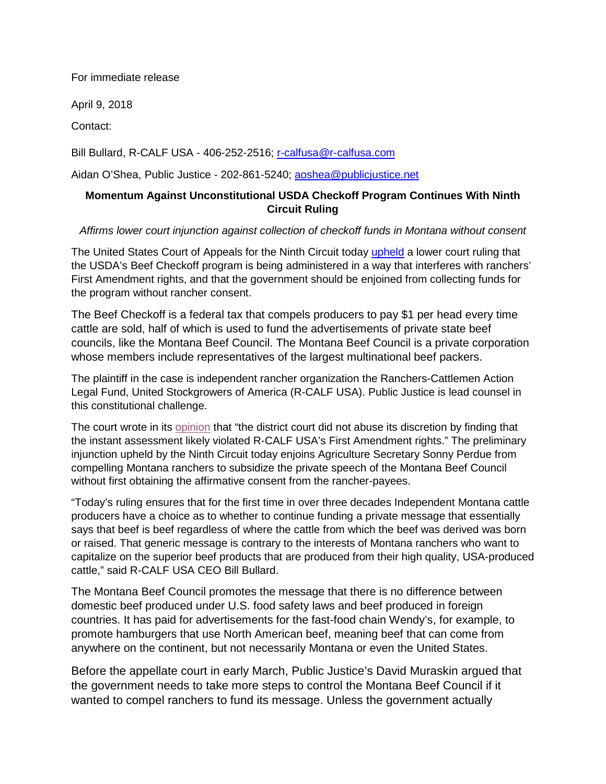For immediate release

April 9, 2018

Contact:

Bill Bullard, R-CALF USA - 406-252-2516; [r-calfusa@r-calfusa.com](mailto:r-calfusa@r-calfusa.com)

Aidan O'Shea, Public Justice - 202-861-5240; [aoshea@publicjustice.net](mailto:aoshea@publicjustice.net)

## **Momentum Against Unconstitutional USDA Checkoff Program Continues With Ninth Circuit Ruling**

## *Affirms lower court injunction against collection of checkoff funds in Montana without consent*

The United States Court of Appeals for the Ninth Circuit today [upheld](https://www.publicjustice.net/wp-content/uploads/2018/04/2018.04.09-Ninth-Circuit-Decision.pdf) a lower court ruling that the USDA's Beef Checkoff program is being administered in a way that interferes with ranchers' First Amendment rights, and that the government should be enjoined from collecting funds for the program without rancher consent.

The Beef Checkoff is a federal tax that compels producers to pay \$1 per head every time cattle are sold, half of which is used to fund the advertisements of private state beef councils, like the Montana Beef Council. The Montana Beef Council is a private corporation whose members include representatives of the largest multinational beef packers.

The plaintiff in the case is independent rancher organization the Ranchers-Cattlemen Action Legal Fund, United Stockgrowers of America (R-CALF USA). Public Justice is lead counsel in this constitutional challenge.

The court wrote in its [opinion](https://www.publicjustice.net/wp-content/uploads/2018/04/2018.04.09-Ninth-Circuit-Decision.pdf) that "the district court did not abuse its discretion by finding that the instant assessment likely violated R-CALF USA's First Amendment rights." The preliminary injunction upheld by the Ninth Circuit today enjoins Agriculture Secretary Sonny Perdue from compelling Montana ranchers to subsidize the private speech of the Montana Beef Council without first obtaining the affirmative consent from the rancher-payees.

"Today's ruling ensures that for the first time in over three decades Independent Montana cattle producers have a choice as to whether to continue funding a private message that essentially says that beef is beef regardless of where the cattle from which the beef was derived was born or raised. That generic message is contrary to the interests of Montana ranchers who want to capitalize on the superior beef products that are produced from their high quality, USA-produced cattle," said R-CALF USA CEO Bill Bullard.

The Montana Beef Council promotes the message that there is no difference between domestic beef produced under U.S. food safety laws and beef produced in foreign countries. It has paid for advertisements for the fast-food chain Wendy's, for example, to promote hamburgers that use North American beef, meaning beef that can come from anywhere on the continent, but not necessarily Montana or even the United States.

Before the appellate court in early March, Public Justice's David Muraskin argued that the government needs to take more steps to control the Montana Beef Council if it wanted to compel ranchers to fund its message. Unless the government actually